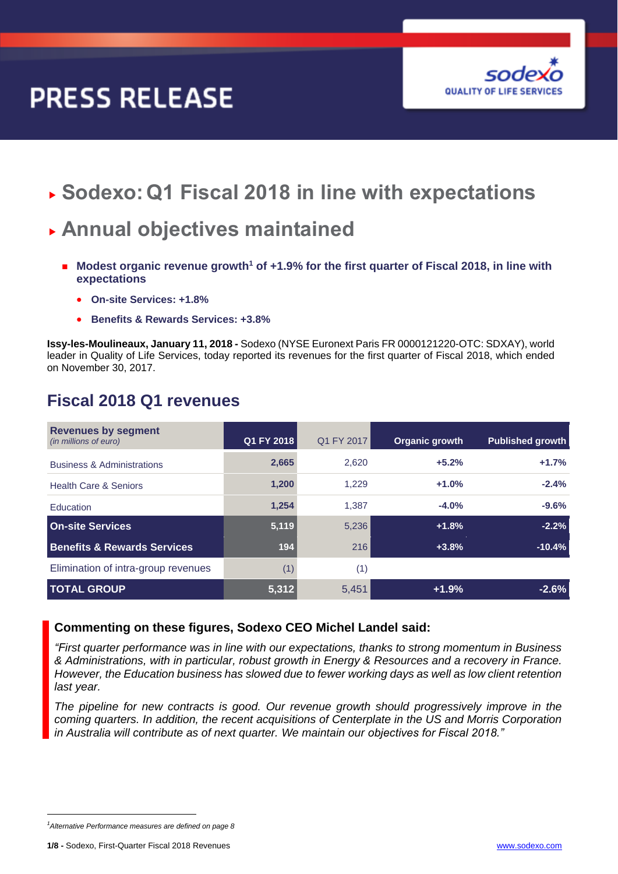# **PRESS RELEASE**



**Sodexo:Q1 Fiscal 2018 in line with expectations**

## **Annual objectives maintained**

- Modest organic revenue growth<sup>1</sup> of +1.9% for the first quarter of Fiscal 2018, in line with **expectations**
	- **On-site Services: +1.8%**
	- **Benefits & Rewards Services: +3.8%**

**Issy-les-Moulineaux, January 11, 2018 -** Sodexo (NYSE Euronext Paris FR 0000121220-OTC: SDXAY), world leader in Quality of Life Services, today reported its revenues for the first quarter of Fiscal 2018, which ended on November 30, 2017.

| <b>Revenues by segment</b><br>(in millions of euro) | Q1 FY 2018 | Q1 FY 2017 | Organic growth | <b>Published growth</b> |
|-----------------------------------------------------|------------|------------|----------------|-------------------------|
| <b>Business &amp; Administrations</b>               | 2,665      | 2.620      | $+5.2%$        | $+1.7%$                 |
| <b>Health Care &amp; Seniors</b>                    | 1,200      | 1,229      | $+1.0%$        | $-2.4%$                 |
| Education                                           | 1,254      | 1.387      | $-4.0%$        | $-9.6%$                 |
| <b>On-site Services</b>                             | 5,119      | 5,236      | $+1.8%$        | $-2.2%$                 |
| <b>Benefits &amp; Rewards Services</b>              | 194        | 216        | $+3.8%$        | $-10.4%$                |
| Elimination of intra-group revenues                 | (1)        | (1)        |                |                         |
| <b>TOTAL GROUP</b>                                  | 5,312      | 5,451      | $+1.9%$        | $-2.6%$                 |

### **Fiscal 2018 Q1 revenues**

### **Commenting on these figures, Sodexo CEO Michel Landel said:**

*"First quarter performance was in line with our expectations, thanks to strong momentum in Business & Administrations, with in particular, robust growth in Energy & Resources and a recovery in France. However, the Education business has slowed due to fewer working days as well as low client retention last year.* 

*The pipeline for new contracts is good. Our revenue growth should progressively improve in the coming quarters. In addition, the recent acquisitions of Centerplate in the US and Morris Corporation in Australia will contribute as of next quarter. We maintain our objectives for Fiscal 2018."*

*<sup>1</sup>Alternative Performance measures are defined on page 8*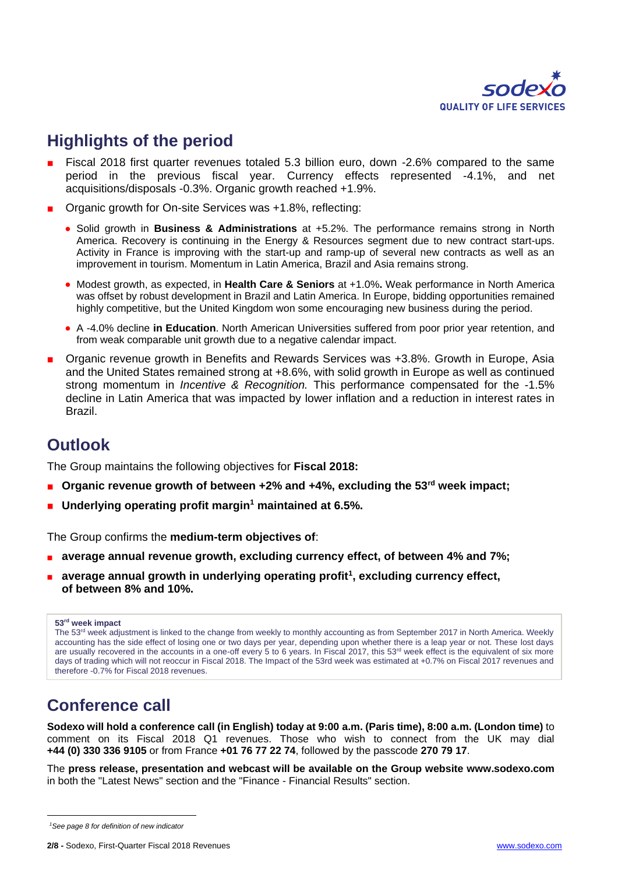

## **Highlights of the period**

- Fiscal 2018 first quarter revenues totaled 5.3 billion euro, down -2.6% compared to the same period in the previous fiscal year. Currency effects represented -4.1%, and net acquisitions/disposals -0.3%. Organic growth reached +1.9%.
- Organic growth for On-site Services was +1.8%, reflecting:
	- Solid growth in **Business & Administrations** at +5.2%. The performance remains strong in North America. Recovery is continuing in the Energy & Resources segment due to new contract start-ups. Activity in France is improving with the start-up and ramp-up of several new contracts as well as an improvement in tourism. Momentum in Latin America, Brazil and Asia remains strong.
	- Modest growth, as expected, in **Health Care & Seniors** at +1.0%**.** Weak performance in North America was offset by robust development in Brazil and Latin America. In Europe, bidding opportunities remained highly competitive, but the United Kingdom won some encouraging new business during the period.
	- A -4.0% decline **in Education**. North American Universities suffered from poor prior year retention, and from weak comparable unit growth due to a negative calendar impact.
- Organic revenue growth in Benefits and Rewards Services was +3.8%. Growth in Europe, Asia and the United States remained strong at +8.6%, with solid growth in Europe as well as continued strong momentum in *Incentive & Recognition.* This performance compensated for the -1.5% decline in Latin America that was impacted by lower inflation and a reduction in interest rates in Brazil.

### **Outlook**

The Group maintains the following objectives for **Fiscal 2018:**

- Organic revenue growth of between +2% and +4%, excluding the 53<sup>rd</sup> week impact;
- **Underlying operating profit margin<sup>1</sup> maintained at 6.5%.**

The Group confirms the **medium-term objectives of**:

- **a** average annual revenue growth, excluding currency effect, of between 4% and 7%;
- **a** average annual growth in underlying operating profit<sup>1</sup>, excluding currency effect, **of between 8% and 10%.**

#### **53rd week impact**

The 53<sup>rd</sup> week adjustment is linked to the change from weekly to monthly accounting as from September 2017 in North America. Weekly accounting has the side effect of losing one or two days per year, depending upon whether there is a leap year or not. These lost days are usually recovered in the accounts in a one-off every 5 to 6 years. In Fiscal 2017, this 53<sup>rd</sup> week effect is the equivalent of six more days of trading which will not reoccur in Fiscal 2018. The Impact of the 53rd week was estimated at +0.7% on Fiscal 2017 revenues and therefore -0.7% for Fiscal 2018 revenues.

## **Conference call**

**Sodexo will hold a conference call (in English) today at 9:00 a.m. (Paris time), 8:00 a.m. (London time)** to comment on its Fiscal 2018 Q1 revenues. Those who wish to connect from the UK may dial **+44 (0) 330 336 9105** or from France **+01 76 77 22 74**, followed by the passcode **270 79 17**.

The **press release, presentation and webcast will be available on the Group website [www.sodexo.com](http://www.sodexo.com/)** in both the "Latest News" section and the "Finance - Financial Results" section.

*<sup>1</sup>See page 8 for definition of new indicator*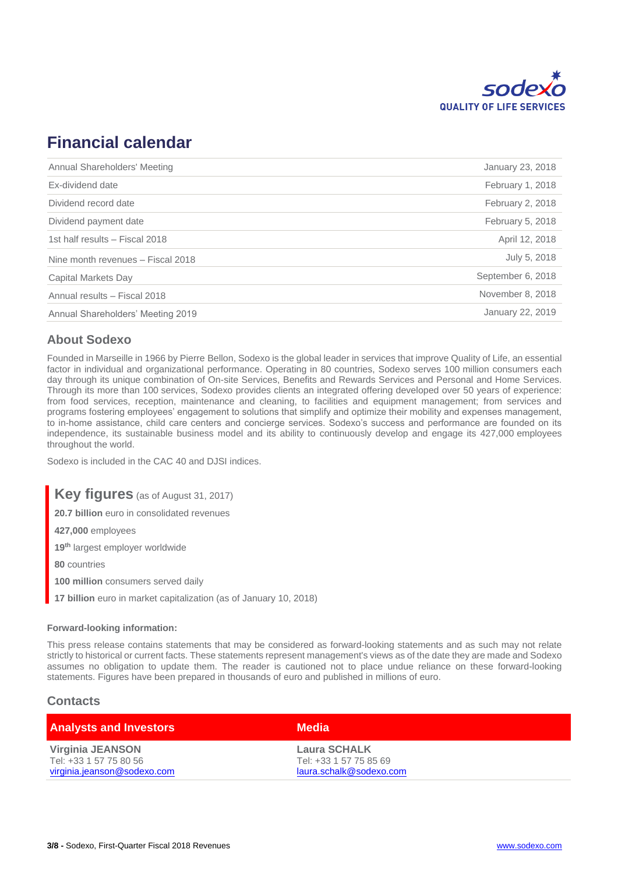

## **Financial calendar**

| Annual Shareholders' Meeting      | January 23, 2018  |
|-----------------------------------|-------------------|
| Ex-dividend date                  | February 1, 2018  |
| Dividend record date              | February 2, 2018  |
| Dividend payment date             | February 5, 2018  |
| 1st half results - Fiscal 2018    | April 12, 2018    |
| Nine month revenues - Fiscal 2018 | July 5, 2018      |
| Capital Markets Day               | September 6, 2018 |
| Annual results - Fiscal 2018      | November 8, 2018  |
| Annual Shareholders' Meeting 2019 | January 22, 2019  |

### **About Sodexo**

Founded in Marseille in 1966 by Pierre Bellon, Sodexo is the global leader in services that improve Quality of Life, an essential factor in individual and organizational performance. Operating in 80 countries, Sodexo serves 100 million consumers each day through its unique combination of On-site Services, Benefits and Rewards Services and Personal and Home Services. Through its more than 100 services, Sodexo provides clients an integrated offering developed over 50 years of experience: from food services, reception, maintenance and cleaning, to facilities and equipment management; from services and programs fostering employees' engagement to solutions that simplify and optimize their mobility and expenses management, to in-home assistance, child care centers and concierge services. Sodexo's success and performance are founded on its independence, its sustainable business model and its ability to continuously develop and engage its 427,000 employees throughout the world.

Sodexo is included in the CAC 40 and DJSI indices.

**Key figures** (as of August 31, 2017)

**20.7 billion** euro in consolidated revenues

**427,000** employees

**19th** largest employer worldwide

**80** countries

**100 million** consumers served daily

**17 billion** euro in market capitalization (as of January 10, 2018)

#### **Forward-looking information:**

This press release contains statements that may be considered as forward-looking statements and as such may not relate strictly to historical or current facts. These statements represent management's views as of the date they are made and Sodexo assumes no obligation to update them. The reader is cautioned not to place undue reliance on these forward-looking statements. Figures have been prepared in thousands of euro and published in millions of euro.

### **Contacts**

| <b>Analysts and Investors</b>              | <b>Media</b>                                  |
|--------------------------------------------|-----------------------------------------------|
| Virginia JEANSON<br>Tel: +33 1 57 75 80 56 | <b>Laura SCHALK</b><br>Tel: +33 1 57 75 85 69 |
| virginia.jeanson@sodexo.com                | laura.schalk@sodexo.com                       |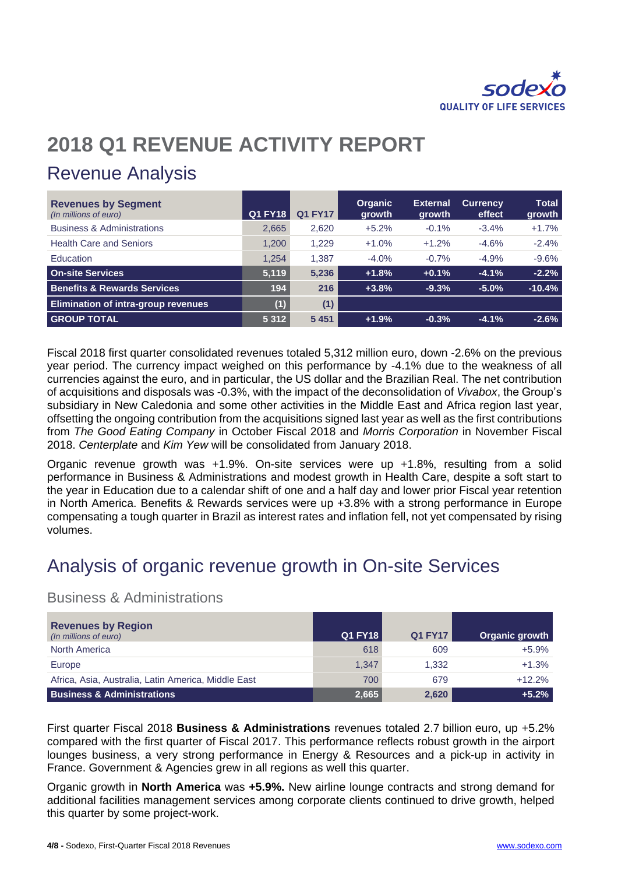

## **2018 Q1 REVENUE ACTIVITY REPORT**

## Revenue Analysis

| <b>Revenues by Segment</b><br>(In millions of euro) | <b>Q1 FY18</b> | <b>Q1 FY17</b> | <b>Organic</b><br>growth | <b>External</b><br><b>growth</b> | <b>Currency</b><br>effect | <b>Total</b><br>growth |
|-----------------------------------------------------|----------------|----------------|--------------------------|----------------------------------|---------------------------|------------------------|
| <b>Business &amp; Administrations</b>               | 2,665          | 2,620          | $+5.2%$                  | $-0.1%$                          | $-3.4%$                   | $+1.7%$                |
| <b>Health Care and Seniors</b>                      | 1,200          | 1,229          | $+1.0%$                  | $+1.2%$                          | $-4.6%$                   | $-2.4%$                |
| Education                                           | 1.254          | 1,387          | $-4.0\%$                 | $-0.7\%$                         | $-4.9%$                   | $-9.6%$                |
| <b>On-site Services</b>                             | 5,119          | 5,236          | $+1.8%$                  | $+0.1%$                          | $-4.1%$                   | $-2.2%$                |
| <b>Benefits &amp; Rewards Services</b>              | 194            | 216            | $+3.8%$                  | $-9.3%$                          | $-5.0%$                   | $-10.4%$               |
| <b>Elimination of intra-group revenues</b>          | (1)            | (1)            |                          |                                  |                           |                        |
| <b>GROUP TOTAL</b>                                  | 5 3 1 2        | 5 4 5 1        | $+1.9%$                  | $-0.3%$                          | $-4.1%$                   | $-2.6%$                |

Fiscal 2018 first quarter consolidated revenues totaled 5,312 million euro, down -2.6% on the previous year period. The currency impact weighed on this performance by -4.1% due to the weakness of all currencies against the euro, and in particular, the US dollar and the Brazilian Real. The net contribution of acquisitions and disposals was -0.3%, with the impact of the deconsolidation of *Vivabox*, the Group's subsidiary in New Caledonia and some other activities in the Middle East and Africa region last year, offsetting the ongoing contribution from the acquisitions signed last year as well as the first contributions from *The Good Eating Company* in October Fiscal 2018 and *Morris Corporation* in November Fiscal 2018. *Centerplate* and *Kim Yew* will be consolidated from January 2018.

Organic revenue growth was +1.9%. On-site services were up +1.8%, resulting from a solid performance in Business & Administrations and modest growth in Health Care, despite a soft start to the year in Education due to a calendar shift of one and a half day and lower prior Fiscal year retention in North America. Benefits & Rewards services were up +3.8% with a strong performance in Europe compensating a tough quarter in Brazil as interest rates and inflation fell, not yet compensated by rising volumes.

## Analysis of organic revenue growth in On-site Services

### Business & Administrations

| <b>Revenues by Region</b><br>(In millions of euro)  | <b>Q1 FY18</b> | <b>Q1 FY17</b> | Organic growth |
|-----------------------------------------------------|----------------|----------------|----------------|
| <b>North America</b>                                | 618            | 609            | $+5.9%$        |
| Europe                                              | 1,347          | 1.332          | $+1.3%$        |
| Africa, Asia, Australia, Latin America, Middle East | 700            | 679            | $+12.2%$       |
| <b>Business &amp; Administrations</b>               | 2,665          | 2,620          | $+5.2%$        |

First quarter Fiscal 2018 **Business & Administrations** revenues totaled 2.7 billion euro, up +5.2% compared with the first quarter of Fiscal 2017. This performance reflects robust growth in the airport lounges business, a very strong performance in Energy & Resources and a pick-up in activity in France. Government & Agencies grew in all regions as well this quarter.

Organic growth in **North America** was **+5.9%.** New airline lounge contracts and strong demand for additional facilities management services among corporate clients continued to drive growth, helped this quarter by some project-work.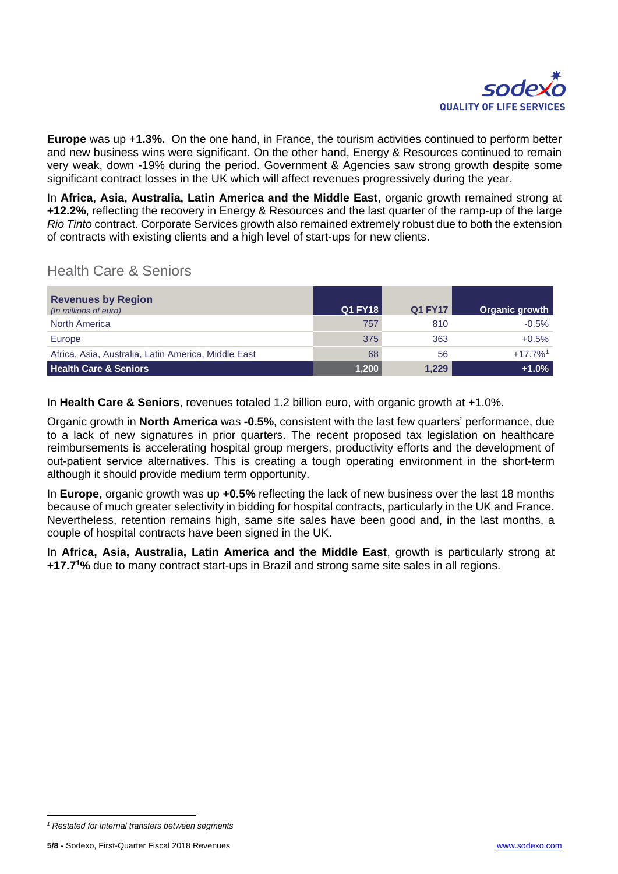

**Europe** was up +**1.3%.** On the one hand, in France, the tourism activities continued to perform better and new business wins were significant. On the other hand, Energy & Resources continued to remain very weak, down -19% during the period. Government & Agencies saw strong growth despite some significant contract losses in the UK which will affect revenues progressively during the year.

In **Africa, Asia, Australia, Latin America and the Middle East**, organic growth remained strong at **+12.2%**, reflecting the recovery in Energy & Resources and the last quarter of the ramp-up of the large *Rio Tinto* contract. Corporate Services growth also remained extremely robust due to both the extension of contracts with existing clients and a high level of start-ups for new clients.

### Health Care & Seniors

| <b>Revenues by Region</b><br>(In millions of euro)  | Q1 FY18 | <b>Q1 FY17</b> | Organic growth        |
|-----------------------------------------------------|---------|----------------|-----------------------|
| North America                                       | 757     | 810            | $-0.5%$               |
| Europe                                              | 375     | 363            | $+0.5%$               |
| Africa, Asia, Australia, Latin America, Middle East | 68      | 56             | $+17.7%$ <sup>1</sup> |
| <b>Health Care &amp; Seniors</b>                    | 1,200   | 1,229          | $+1.0%$               |

In **Health Care & Seniors**, revenues totaled 1.2 billion euro, with organic growth at +1.0%.

Organic growth in **North America** was **-0.5%**, consistent with the last few quarters' performance, due to a lack of new signatures in prior quarters. The recent proposed tax legislation on healthcare reimbursements is accelerating hospital group mergers, productivity efforts and the development of out-patient service alternatives. This is creating a tough operating environment in the short-term although it should provide medium term opportunity.

In **Europe,** organic growth was up **+0.5%** reflecting the lack of new business over the last 18 months because of much greater selectivity in bidding for hospital contracts, particularly in the UK and France. Nevertheless, retention remains high, same site sales have been good and, in the last months, a couple of hospital contracts have been signed in the UK.

In **Africa, Asia, Australia, Latin America and the Middle East**, growth is particularly strong at **+17.7<sup>1</sup>%** due to many contract start-ups in Brazil and strong same site sales in all regions.

*<sup>1</sup> Restated for internal transfers between segments*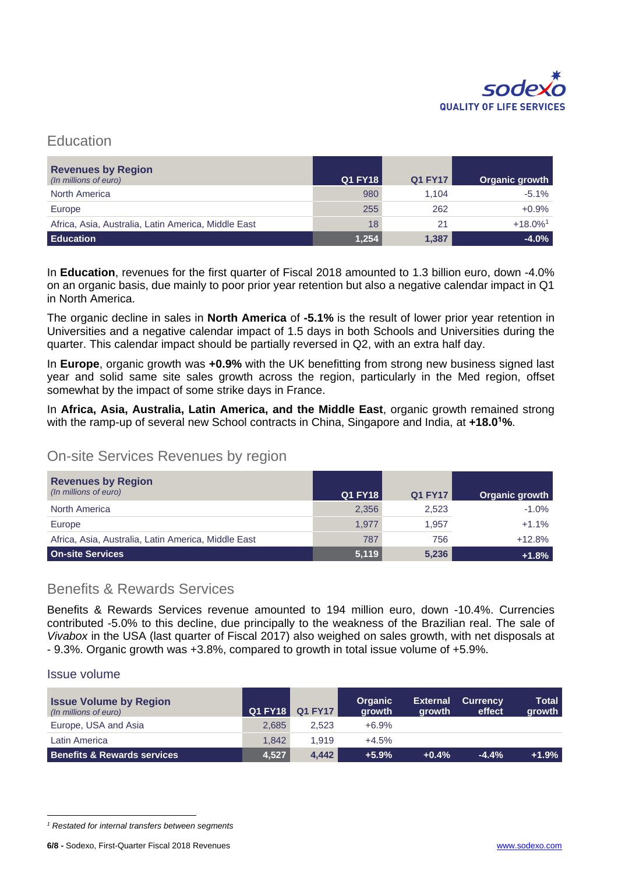

### **Education**

| <b>Revenues by Region</b><br>(In millions of euro)  | Q1 FY18 | <b>Q1 FY17</b> | Organic growth         |
|-----------------------------------------------------|---------|----------------|------------------------|
| <b>North America</b>                                | 980     | 1.104          | $-5.1%$                |
| Europe                                              | 255     | 262            | $+0.9%$                |
| Africa, Asia, Australia, Latin America, Middle East | 18      | 21             | $+18.0\%$ <sup>1</sup> |
| <b>Education</b>                                    | 1,254   | 1,387          | $-4.0%$                |

In **Education**, revenues for the first quarter of Fiscal 2018 amounted to 1.3 billion euro, down -4.0% on an organic basis, due mainly to poor prior year retention but also a negative calendar impact in Q1 in North America.

The organic decline in sales in **North America** of **-5.1%** is the result of lower prior year retention in Universities and a negative calendar impact of 1.5 days in both Schools and Universities during the quarter. This calendar impact should be partially reversed in Q2, with an extra half day.

In **Europe**, organic growth was **+0.9%** with the UK benefitting from strong new business signed last year and solid same site sales growth across the region, particularly in the Med region, offset somewhat by the impact of some strike days in France.

In **Africa, Asia, Australia, Latin America, and the Middle East**, organic growth remained strong with the ramp-up of several new School contracts in China, Singapore and India, at **+18.0<sup>1</sup>%**.

### On-site Services Revenues by region

| <b>Revenues by Region</b><br>(In millions of euro)  | <b>Q1 FY18</b> | <b>Q1 FY17</b> | Organic growth |
|-----------------------------------------------------|----------------|----------------|----------------|
| North America                                       | 2,356          | 2,523          | $-1.0%$        |
| Europe                                              | 1.977          | 1.957          | $+1.1%$        |
| Africa, Asia, Australia, Latin America, Middle East | 787            | 756            | $+12.8%$       |
| <b>On-site Services</b>                             | 5,119          | 5,236          | $+1.8%$        |

### Benefits & Rewards Services

Benefits & Rewards Services revenue amounted to 194 million euro, down -10.4%. Currencies contributed -5.0% to this decline, due principally to the weakness of the Brazilian real. The sale of *Vivabox* in the USA (last quarter of Fiscal 2017) also weighed on sales growth, with net disposals at - 9.3%. Organic growth was +3.8%, compared to growth in total issue volume of +5.9%.

### Issue volume

| <b>Issue Volume by Region</b><br>(In millions of euro) | <b>Q1 FY18</b> | <b>Q1 FY17</b> | <b>Organic</b><br>growth | <b>External</b><br>growth | <b>Currency</b><br>effect | <b>Total</b><br>growth |
|--------------------------------------------------------|----------------|----------------|--------------------------|---------------------------|---------------------------|------------------------|
| Europe, USA and Asia                                   | 2.685          | 2.523          | $+6.9%$                  |                           |                           |                        |
| Latin America                                          | 1.842          | 1.919          | $+4.5%$                  |                           |                           |                        |
| <b>Benefits &amp; Rewards services</b>                 | 4.527          | 4.442          | $+5.9%$                  | $+0.4%$                   | $-4.4%$                   | $+1.9%$                |

*<sup>1</sup> Restated for internal transfers between segments*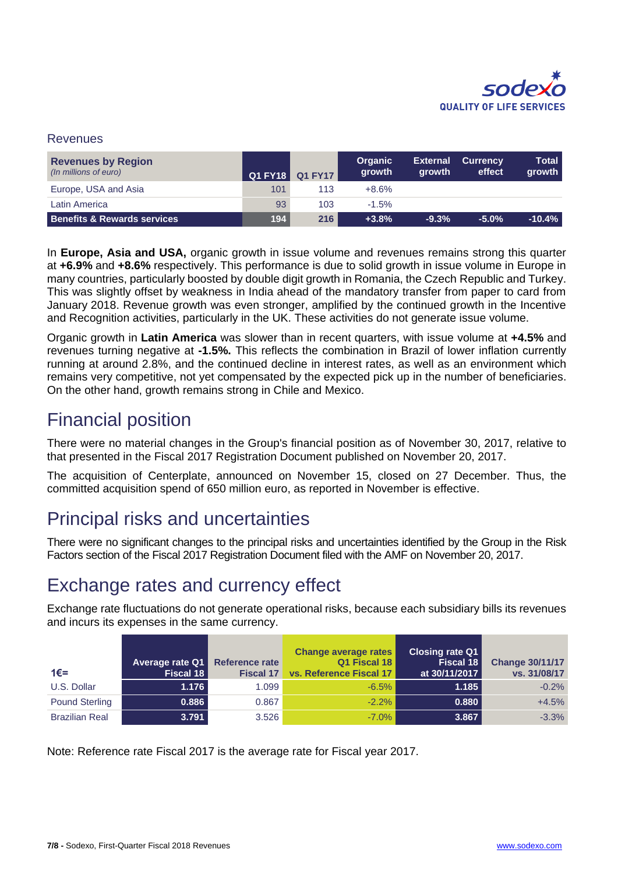

### Revenues

| <b>Revenues by Region</b><br>(In millions of euro) | Q1 FY18 | <b>Q1 FY17</b> | <b>Organic</b><br>growth | <b>External</b><br>growth | <b>Currency</b><br>effect | Total<br>growth |
|----------------------------------------------------|---------|----------------|--------------------------|---------------------------|---------------------------|-----------------|
| Europe, USA and Asia                               | 101     | 113            | $+8.6%$                  |                           |                           |                 |
| Latin America                                      | 93      | 103            | $-1.5%$                  |                           |                           |                 |
| <b>Benefits &amp; Rewards services</b>             | 194     | 216            | $+3.8%$                  | $-9.3%$                   | $-5.0%$                   | $-10.4%$        |

In **Europe, Asia and USA,** organic growth in issue volume and revenues remains strong this quarter at **+6.9%** and **+8.6%** respectively. This performance is due to solid growth in issue volume in Europe in many countries, particularly boosted by double digit growth in Romania, the Czech Republic and Turkey. This was slightly offset by weakness in India ahead of the mandatory transfer from paper to card from January 2018. Revenue growth was even stronger, amplified by the continued growth in the Incentive and Recognition activities, particularly in the UK. These activities do not generate issue volume.

Organic growth in **Latin America** was slower than in recent quarters, with issue volume at **+4.5%** and revenues turning negative at **-1.5%.** This reflects the combination in Brazil of lower inflation currently running at around 2.8%, and the continued decline in interest rates, as well as an environment which remains very competitive, not yet compensated by the expected pick up in the number of beneficiaries. On the other hand, growth remains strong in Chile and Mexico.

## Financial position

There were no material changes in the Group's financial position as of November 30, 2017, relative to that presented in the Fiscal 2017 Registration Document published on November 20, 2017.

The acquisition of Centerplate, announced on November 15, closed on 27 December. Thus, the committed acquisition spend of 650 million euro, as reported in November is effective.

## Principal risks and uncertainties

There were no significant changes to the principal risks and uncertainties identified by the Group in the Risk Factors section of the Fiscal 2017 Registration Document filed with the AMF on November 20, 2017.

## Exchange rates and currency effect

Exchange rate fluctuations do not generate operational risks, because each subsidiary bills its revenues and incurs its expenses in the same currency.

| $1€=$                 | Average rate Q1<br>Fiscal 18 | <b>Reference rate</b><br><b>Fiscal 17</b> | <b>Change average rates</b><br>Q1 Fiscal 18<br>vs. Reference Fiscal 17 | <b>Closing rate Q1</b><br>Fiscal 18<br>at 30/11/2017 | <b>Change 30/11/17</b><br>vs. 31/08/17 |
|-----------------------|------------------------------|-------------------------------------------|------------------------------------------------------------------------|------------------------------------------------------|----------------------------------------|
| U.S. Dollar           | 1.176                        | 1.099                                     | $-6.5%$                                                                | 1.185                                                | $-0.2%$                                |
| <b>Pound Sterling</b> | 0.886                        | 0.867                                     | $-2.2%$                                                                | 0.880                                                | $+4.5%$                                |
| <b>Brazilian Real</b> | 3.791                        | 3.526                                     | $-7.0%$                                                                | 3.867                                                | $-3.3%$                                |

Note: Reference rate Fiscal 2017 is the average rate for Fiscal year 2017.